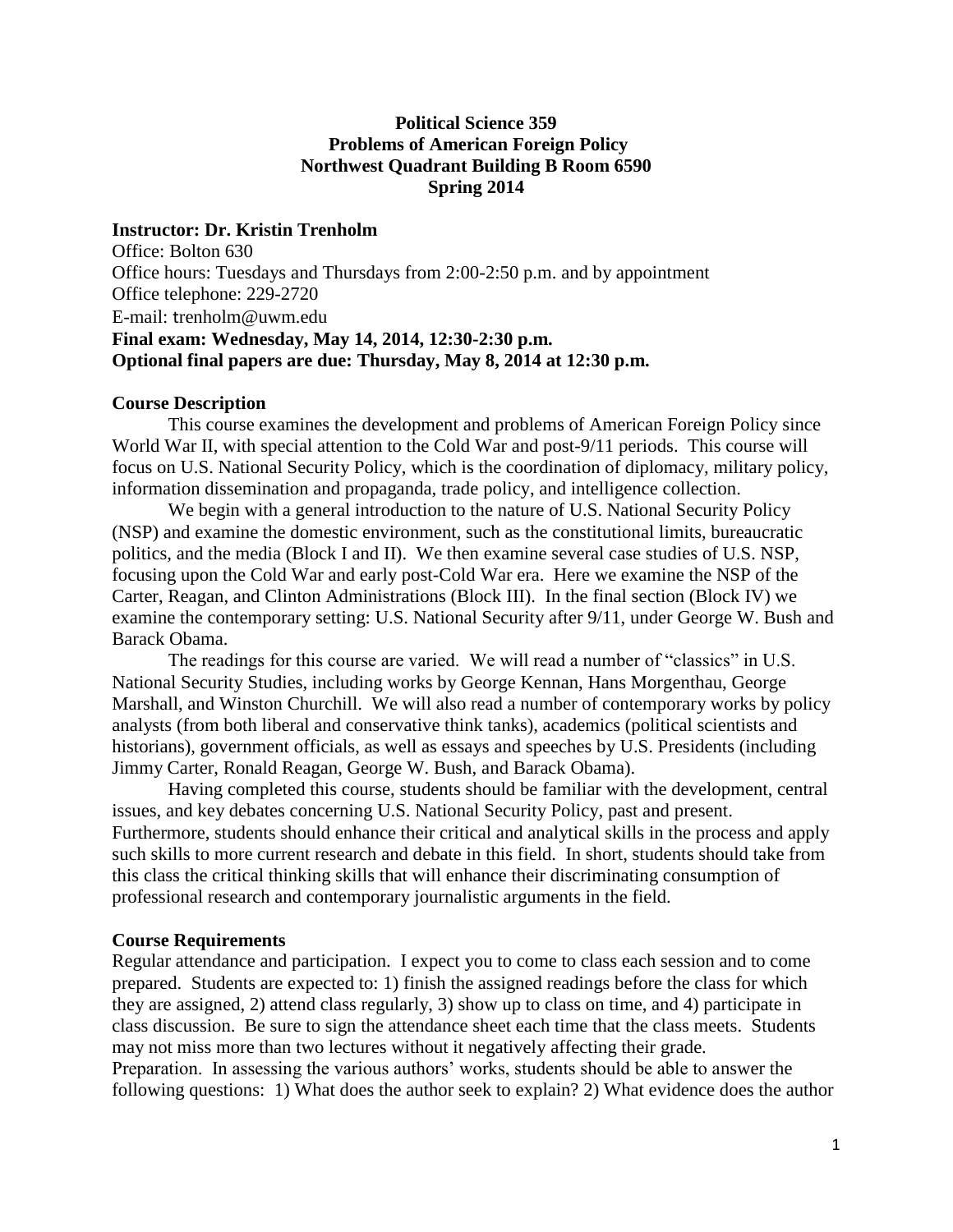# **Political Science 359 Problems of American Foreign Policy Northwest Quadrant Building B Room 6590 Spring 2014**

## **Instructor: Dr. Kristin Trenholm**

Office: Bolton 630 Office hours: Tuesdays and Thursdays from 2:00-2:50 p.m. and by appointment Office telephone: 229-2720 E-mail: t[renholm@uwm.edu](mailto:trenholm@uwm.edu) **Final exam: Wednesday, May 14, 2014, 12:30-2:30 p.m. Optional final papers are due: Thursday, May 8, 2014 at 12:30 p.m.** 

#### **Course Description**

This course examines the development and problems of American Foreign Policy since World War II, with special attention to the Cold War and post-9/11 periods. This course will focus on U.S. National Security Policy, which is the coordination of diplomacy, military policy, information dissemination and propaganda, trade policy, and intelligence collection.

We begin with a general introduction to the nature of U.S. National Security Policy (NSP) and examine the domestic environment, such as the constitutional limits, bureaucratic politics, and the media (Block I and II). We then examine several case studies of U.S. NSP, focusing upon the Cold War and early post-Cold War era. Here we examine the NSP of the Carter, Reagan, and Clinton Administrations (Block III). In the final section (Block IV) we examine the contemporary setting: U.S. National Security after 9/11, under George W. Bush and Barack Obama.

The readings for this course are varied. We will read a number of "classics" in U.S. National Security Studies, including works by George Kennan, Hans Morgenthau, George Marshall, and Winston Churchill. We will also read a number of contemporary works by policy analysts (from both liberal and conservative think tanks), academics (political scientists and historians), government officials, as well as essays and speeches by U.S. Presidents (including Jimmy Carter, Ronald Reagan, George W. Bush, and Barack Obama).

Having completed this course, students should be familiar with the development, central issues, and key debates concerning U.S. National Security Policy, past and present. Furthermore, students should enhance their critical and analytical skills in the process and apply such skills to more current research and debate in this field. In short, students should take from this class the critical thinking skills that will enhance their discriminating consumption of professional research and contemporary journalistic arguments in the field.

## **Course Requirements**

Regular attendance and participation. I expect you to come to class each session and to come prepared. Students are expected to: 1) finish the assigned readings before the class for which they are assigned, 2) attend class regularly, 3) show up to class on time, and 4) participate in class discussion. Be sure to sign the attendance sheet each time that the class meets. Students may not miss more than two lectures without it negatively affecting their grade. Preparation. In assessing the various authors' works, students should be able to answer the following questions: 1) What does the author seek to explain? 2) What evidence does the author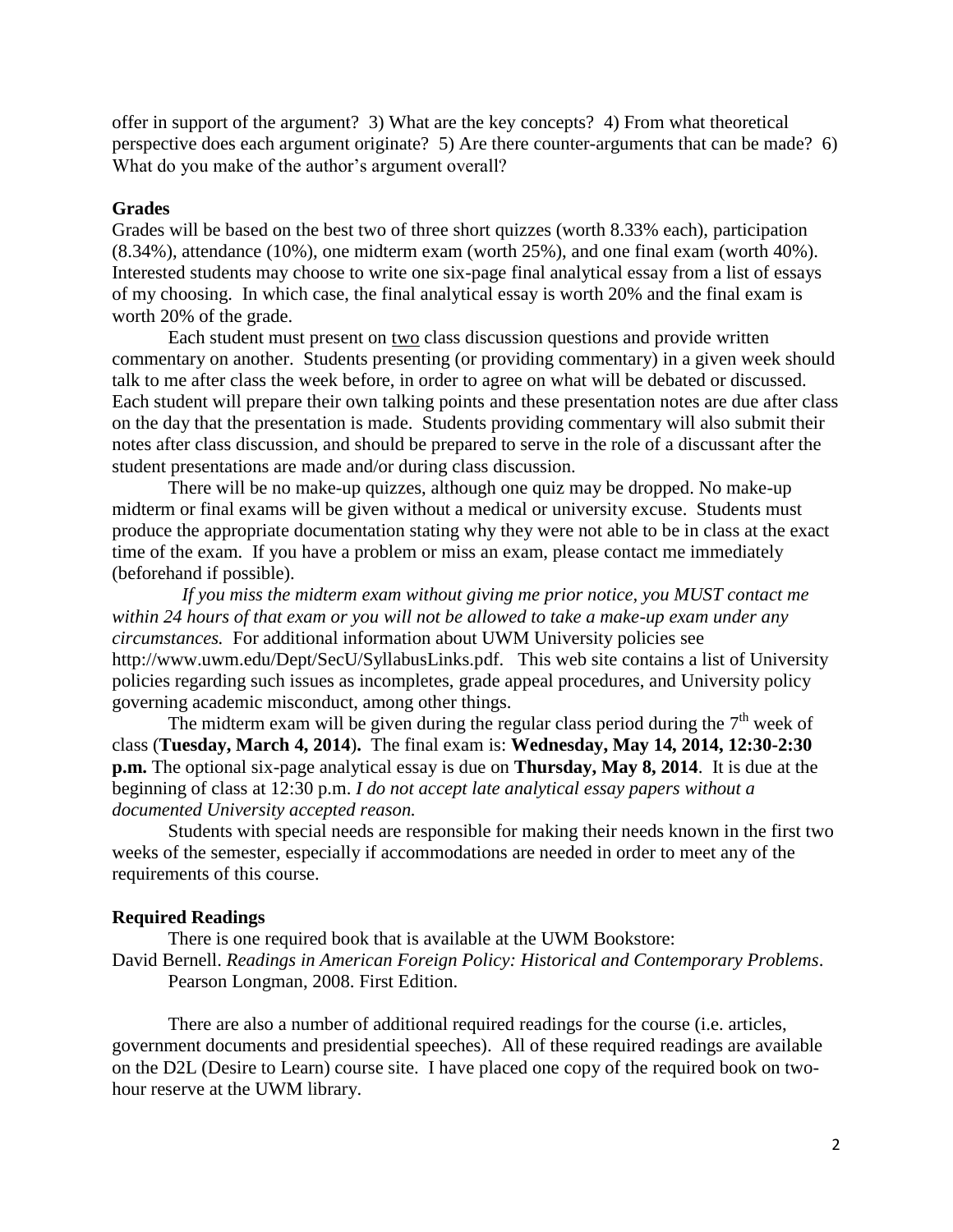offer in support of the argument? 3) What are the key concepts? 4) From what theoretical perspective does each argument originate? 5) Are there counter-arguments that can be made? 6) What do you make of the author's argument overall?

#### **Grades**

Grades will be based on the best two of three short quizzes (worth 8.33% each), participation (8.34%), attendance (10%), one midterm exam (worth 25%), and one final exam (worth 40%). Interested students may choose to write one six-page final analytical essay from a list of essays of my choosing. In which case, the final analytical essay is worth 20% and the final exam is worth 20% of the grade.

Each student must present on two class discussion questions and provide written commentary on another. Students presenting (or providing commentary) in a given week should talk to me after class the week before, in order to agree on what will be debated or discussed. Each student will prepare their own talking points and these presentation notes are due after class on the day that the presentation is made. Students providing commentary will also submit their notes after class discussion, and should be prepared to serve in the role of a discussant after the student presentations are made and/or during class discussion.

 There will be no make-up quizzes, although one quiz may be dropped. No make-up midterm or final exams will be given without a medical or university excuse. Students must produce the appropriate documentation stating why they were not able to be in class at the exact time of the exam. If you have a problem or miss an exam, please contact me immediately (beforehand if possible).

*If you miss the midterm exam without giving me prior notice, you MUST contact me within 24 hours of that exam or you will not be allowed to take a make-up exam under any circumstances.* For additional information about UWM University policies see http://www.uwm.edu/Dept/SecU/SyllabusLinks.pdf. This web site contains a list of University policies regarding such issues as incompletes, grade appeal procedures, and University policy governing academic misconduct, among other things.

The midterm exam will be given during the regular class period during the  $7<sup>th</sup>$  week of class (**Tuesday, March 4, 2014**)**.** The final exam is: **Wednesday, May 14, 2014, 12:30-2:30 p.m.** The optional six-page analytical essay is due on **Thursday, May 8, 2014**. It is due at the beginning of class at 12:30 p.m. *I do not accept late analytical essay papers without a documented University accepted reason.*

Students with special needs are responsible for making their needs known in the first two weeks of the semester, especially if accommodations are needed in order to meet any of the requirements of this course.

#### **Required Readings**

There is one required book that is available at the UWM Bookstore: David Bernell. *Readings in American Foreign Policy: Historical and Contemporary Problems*. Pearson Longman, 2008. First Edition.

There are also a number of additional required readings for the course (i.e. articles, government documents and presidential speeches). All of these required readings are available on the D2L (Desire to Learn) course site. I have placed one copy of the required book on twohour reserve at the UWM library.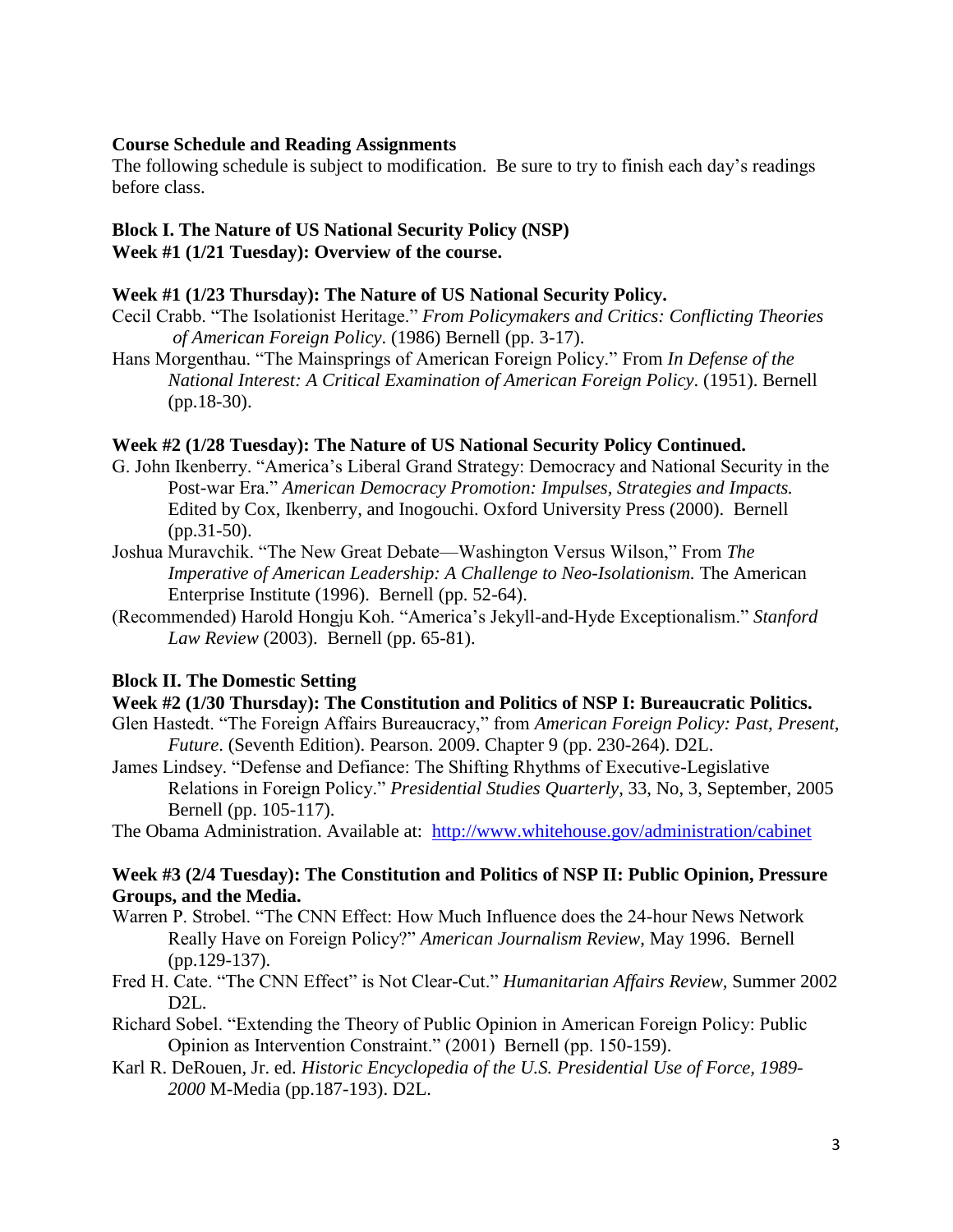#### **Course Schedule and Reading Assignments**

The following schedule is subject to modification. Be sure to try to finish each day's readings before class.

#### **Block I. The Nature of US National Security Policy (NSP) Week #1 (1/21 Tuesday): Overview of the course.**

#### **Week #1 (1/23 Thursday): The Nature of US National Security Policy.**

- Cecil Crabb. "The Isolationist Heritage." *From Policymakers and Critics: Conflicting Theories of American Foreign Policy*. (1986) Bernell (pp. 3-17).
- Hans Morgenthau. "The Mainsprings of American Foreign Policy." From *In Defense of the National Interest: A Critical Examination of American Foreign Policy*. (1951). Bernell (pp.18-30).

#### **Week #2 (1/28 Tuesday): The Nature of US National Security Policy Continued.**

- G. John Ikenberry. "America's Liberal Grand Strategy: Democracy and National Security in the Post-war Era." *American Democracy Promotion: Impulses, Strategies and Impacts.* Edited by Cox, Ikenberry, and Inogouchi. Oxford University Press (2000). Bernell (pp.31-50).
- Joshua Muravchik. "The New Great Debate—Washington Versus Wilson," From *The Imperative of American Leadership: A Challenge to Neo-Isolationism.* The American Enterprise Institute (1996). Bernell (pp. 52-64).
- (Recommended) Harold Hongju Koh. "America's Jekyll-and-Hyde Exceptionalism." *Stanford Law Review* (2003). Bernell (pp. 65-81).

#### **Block II. The Domestic Setting**

## **Week #2 (1/30 Thursday): The Constitution and Politics of NSP I: Bureaucratic Politics.**

- Glen Hastedt. "The Foreign Affairs Bureaucracy," from *American Foreign Policy: Past, Present, Future*. (Seventh Edition). Pearson. 2009. Chapter 9 (pp. 230-264). D2L.
- James Lindsey. "Defense and Defiance: The Shifting Rhythms of Executive-Legislative Relations in Foreign Policy." *Presidential Studies Quarterly*, 33, No, 3, September, 2005 Bernell (pp. 105-117).

The Obama Administration. Available at: <http://www.whitehouse.gov/administration/cabinet>

#### **Week #3 (2/4 Tuesday): The Constitution and Politics of NSP II: Public Opinion, Pressure Groups, and the Media.**

- Warren P. Strobel. "The CNN Effect: How Much Influence does the 24-hour News Network Really Have on Foreign Policy?" *American Journalism Review*, May 1996. Bernell (pp.129-137).
- Fred H. Cate. "The CNN Effect" is Not Clear-Cut." *Humanitarian Affairs Review,* Summer 2002 D2L.
- Richard Sobel. "Extending the Theory of Public Opinion in American Foreign Policy: Public Opinion as Intervention Constraint." (2001) Bernell (pp. 150-159).
- Karl R. DeRouen, Jr. ed. *Historic Encyclopedia of the U.S. Presidential Use of Force, 1989- 2000* M-Media (pp.187-193). D2L.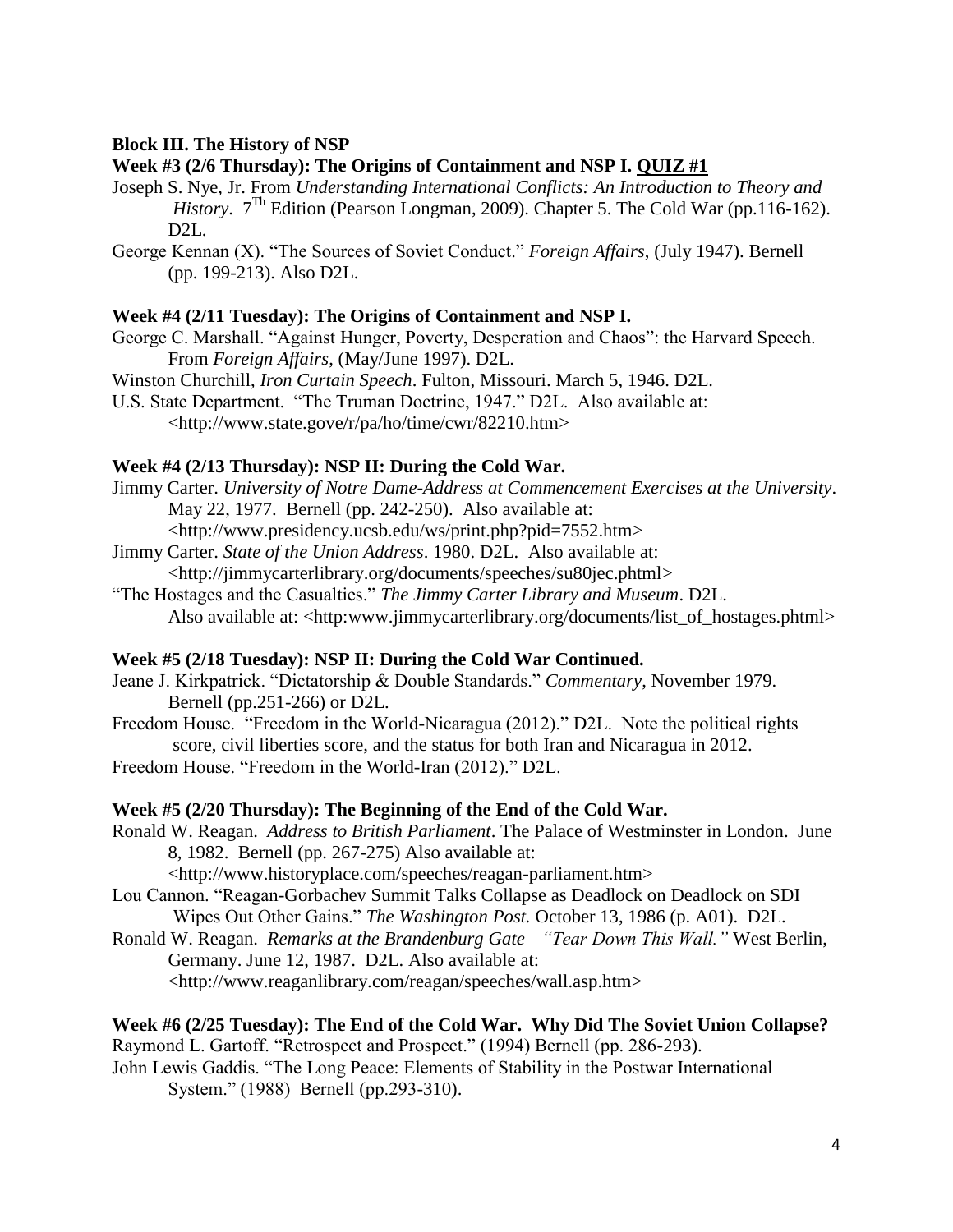# **Block III. The History of NSP**

# **Week #3 (2/6 Thursday): The Origins of Containment and NSP I. QUIZ #1**

- Joseph S. Nye, Jr. From *Understanding International Conflicts: An Introduction to Theory and History.*  $7^{\text{Th}}$  Edition (Pearson Longman, 2009). Chapter 5. The Cold War (pp. 116-162). D<sub>2</sub>L.
- George Kennan (X). "The Sources of Soviet Conduct." *Foreign Affairs*, (July 1947). Bernell (pp. 199-213). Also D2L.

## **Week #4 (2/11 Tuesday): The Origins of Containment and NSP I.**

- George C. Marshall. "Against Hunger, Poverty, Desperation and Chaos": the Harvard Speech. From *Foreign Affairs*, (May/June 1997). D2L.
- Winston Churchill, *Iron Curtain Speech*. Fulton, Missouri. March 5, 1946. D2L.
- U.S. State Department. "The Truman Doctrine, 1947." D2L. Also available at: [<http://www.state.gove/r/pa/ho/time/cwr/82210.htm>](http://www.state.gove/r/pa/ho/time/cwr/82210.htm)

# **Week #4 (2/13 Thursday): NSP II: During the Cold War.**

Jimmy Carter. *University of Notre Dame-Address at Commencement Exercises at the University*. May 22, 1977. Bernell (pp. 242-250). Also available at:

[<http://www.presidency.ucsb.edu/ws/print.php?pid=7552.htm>](http://www.presidency.ucsb.edu/ws/print.php?pid=7552.htm)

Jimmy Carter. *State of the Union Address*. 1980. D2L. Also available at:

[<http://jimmycarterlibrary.org/documents/speeches/su80jec.phtml>](http://jimmycarterlibrary.org/documents/speeches/su80jec.phtml)

"The Hostages and the Casualties." *The Jimmy Carter Library and Museum*. D2L. Also available at: <http:www.jimmycarterlibrary.org/documents/list\_of\_hostages.phtml>

## **Week #5 (2/18 Tuesday): NSP II: During the Cold War Continued.**

- Jeane J. Kirkpatrick. "Dictatorship & Double Standards." *Commentary*, November 1979. Bernell (pp.251-266) or D2L.
- Freedom House. "Freedom in the World-Nicaragua (2012)." D2L. Note the political rights score, civil liberties score, and the status for both Iran and Nicaragua in 2012.
- Freedom House. "Freedom in the World-Iran (2012)." D2L.

## **Week #5 (2/20 Thursday): The Beginning of the End of the Cold War.**

Ronald W. Reagan. *Address to British Parliament*. The Palace of Westminster in London. June 8, 1982. Bernell (pp. 267-275) Also available at:

[<http://www.historyplace.com/speeches/reagan-parliament.htm>](http://www.historyplace.com/speeches/reagan-parliament.htm)

- Lou Cannon. "Reagan-Gorbachev Summit Talks Collapse as Deadlock on Deadlock on SDI Wipes Out Other Gains." *The Washington Post.* October 13, 1986 (p. A01). D2L.
- Ronald W. Reagan. *Remarks at the Brandenburg Gate—"Tear Down This Wall."* West Berlin, Germany. June 12, 1987. D2L. Also available at: [<http://www.reaganlibrary.com/reagan/speeches/wall.asp.htm>](http://www.reaganlibrary.com/reagan/speeches/wall.asp.htm)

## **Week #6 (2/25 Tuesday): The End of the Cold War. Why Did The Soviet Union Collapse?** Raymond L. Gartoff. "Retrospect and Prospect." (1994) Bernell (pp. 286-293).

John Lewis Gaddis. "The Long Peace: Elements of Stability in the Postwar International System." (1988) Bernell (pp.293-310).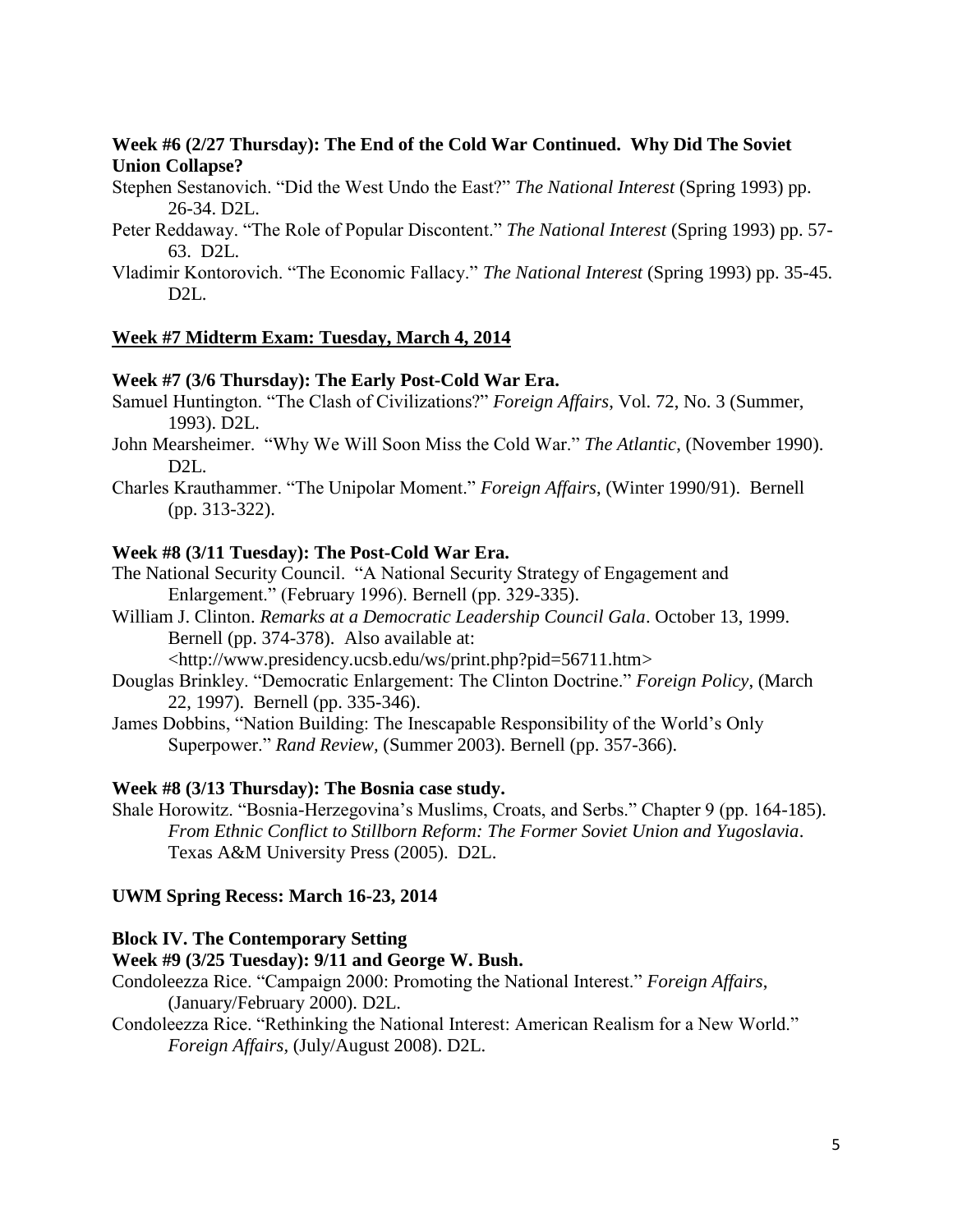# **Week #6 (2/27 Thursday): The End of the Cold War Continued. Why Did The Soviet Union Collapse?**

Stephen Sestanovich. "Did the West Undo the East?" *The National Interest* (Spring 1993) pp. 26-34. D2L.

- Peter Reddaway. "The Role of Popular Discontent." *The National Interest* (Spring 1993) pp. 57- 63. D2L.
- Vladimir Kontorovich. "The Economic Fallacy." *The National Interest* (Spring 1993) pp. 35-45. D2L.

## **Week #7 Midterm Exam: Tuesday, March 4, 2014**

## **Week #7 (3/6 Thursday): The Early Post-Cold War Era.**

- Samuel Huntington. "The Clash of Civilizations?" *Foreign Affairs*, Vol. 72, No. 3 (Summer, 1993). D2L.
- John Mearsheimer. "Why We Will Soon Miss the Cold War." *The Atlantic*, (November 1990). D2L.
- Charles Krauthammer. "The Unipolar Moment." *Foreign Affairs*, (Winter 1990/91). Bernell (pp. 313-322).

#### **Week #8 (3/11 Tuesday): The Post-Cold War Era.**

- The National Security Council. "A National Security Strategy of Engagement and Enlargement." (February 1996). Bernell (pp. 329-335).
- William J. Clinton. *Remarks at a Democratic Leadership Council Gala*. October 13, 1999. Bernell (pp. 374-378). Also available at:

[<http://www.presidency.ucsb.edu/ws/print.php?pid=56711.htm>](http://www.presidency.ucsb.edu/ws/print.php?pid=56711.htm)

- Douglas Brinkley. "Democratic Enlargement: The Clinton Doctrine." *Foreign Policy*, (March 22, 1997). Bernell (pp. 335-346).
- James Dobbins, "Nation Building: The Inescapable Responsibility of the World's Only Superpower." *Rand Review,* (Summer 2003). Bernell (pp. 357-366).

## **Week #8 (3/13 Thursday): The Bosnia case study.**

Shale Horowitz. "Bosnia-Herzegovina's Muslims, Croats, and Serbs." Chapter 9 (pp. 164-185). *From Ethnic Conflict to Stillborn Reform: The Former Soviet Union and Yugoslavia*. Texas A&M University Press (2005). D2L.

## **UWM Spring Recess: March 16-23, 2014**

#### **Block IV. The Contemporary Setting**

## **Week #9 (3/25 Tuesday): 9/11 and George W. Bush.**

- Condoleezza Rice. "Campaign 2000: Promoting the National Interest." *Foreign Affairs*, (January/February 2000). D2L.
- Condoleezza Rice. "Rethinking the National Interest: American Realism for a New World." *Foreign Affairs,* (July/August 2008). D2L.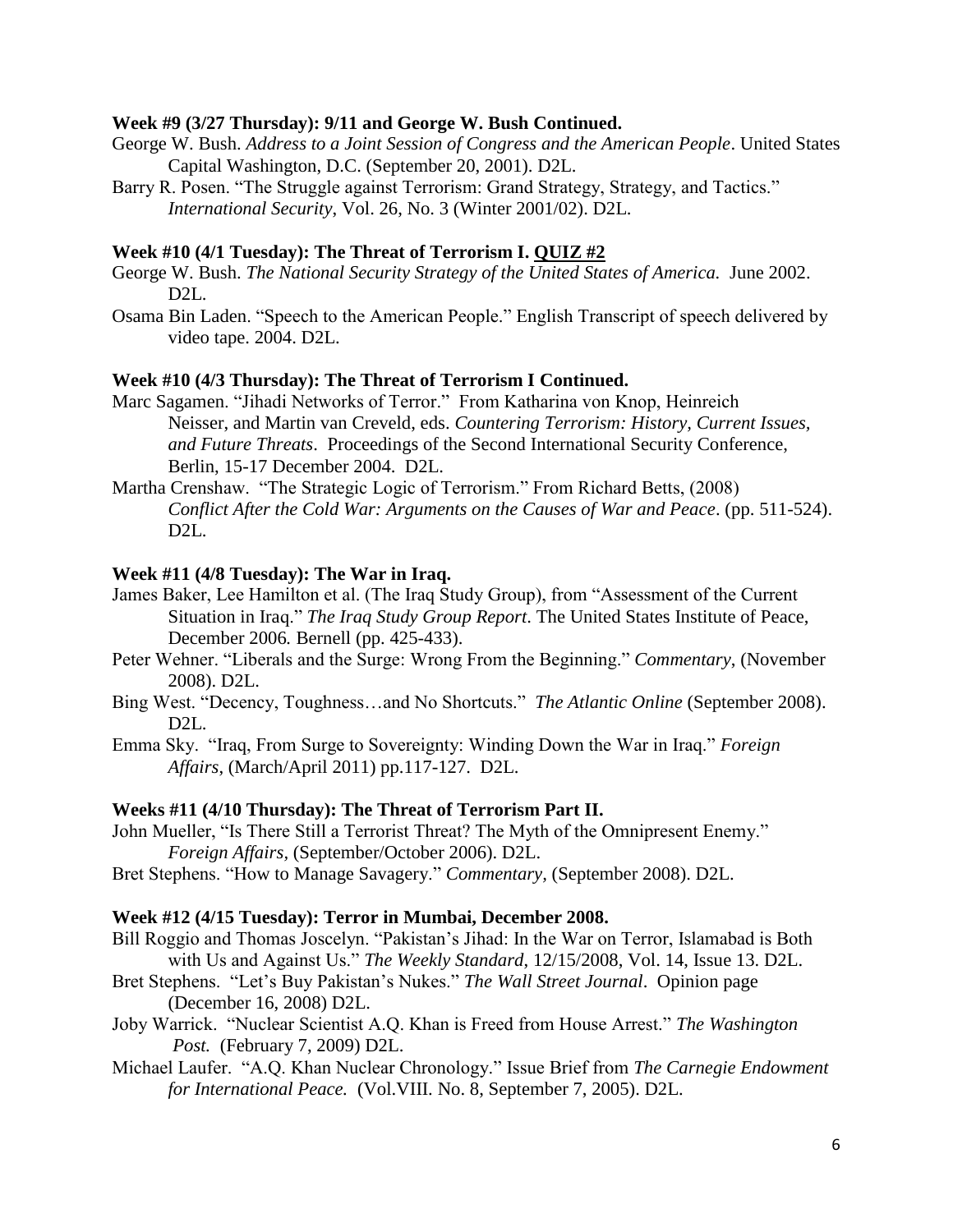#### **Week #9 (3/27 Thursday): 9/11 and George W. Bush Continued.**

- George W. Bush. *Address to a Joint Session of Congress and the American People*. United States Capital Washington, D.C. (September 20, 2001). D2L.
- Barry R. Posen. "The Struggle against Terrorism: Grand Strategy, Strategy, and Tactics." *International Security*, Vol. 26, No. 3 (Winter 2001/02). D2L.

#### **Week #10 (4/1 Tuesday): The Threat of Terrorism I. QUIZ #2**

- George W. Bush. *The National Security Strategy of the United States of America.* June 2002. D<sub>2</sub>L.
- Osama Bin Laden. "Speech to the American People." English Transcript of speech delivered by video tape. 2004. D2L.

#### **Week #10 (4/3 Thursday): The Threat of Terrorism I Continued.**

- Marc Sagamen. "Jihadi Networks of Terror." From Katharina von Knop, Heinreich Neisser, and Martin van Creveld, eds. *Countering Terrorism: History, Current Issues, and Future Threats*. Proceedings of the Second International Security Conference, Berlin, 15-17 December 2004. D2L.
- Martha Crenshaw. "The Strategic Logic of Terrorism." From Richard Betts, (2008) *Conflict After the Cold War: Arguments on the Causes of War and Peace*. (pp. 511-524). D2L.

#### **Week #11 (4/8 Tuesday): The War in Iraq.**

- James Baker, Lee Hamilton et al. (The Iraq Study Group), from "Assessment of the Current Situation in Iraq." *The Iraq Study Group Report*. The United States Institute of Peace, December 2006*.* Bernell (pp. 425-433).
- Peter Wehner. "Liberals and the Surge: Wrong From the Beginning." *Commentary*, (November 2008). D2L.
- Bing West. "Decency, Toughness…and No Shortcuts." *The Atlantic Online* (September 2008). D2L.
- Emma Sky. "Iraq, From Surge to Sovereignty: Winding Down the War in Iraq." *Foreign Affairs*, (March/April 2011) pp.117-127. D2L.

#### **Weeks #11 (4/10 Thursday): The Threat of Terrorism Part II.**

- John Mueller, "Is There Still a Terrorist Threat? The Myth of the Omnipresent Enemy." *Foreign Affairs,* (September/October 2006). D2L.
- Bret Stephens. "How to Manage Savagery." *Commentary,* (September 2008). D2L.

#### **Week #12 (4/15 Tuesday): Terror in Mumbai, December 2008.**

- Bill Roggio and Thomas Joscelyn. "Pakistan's Jihad: In the War on Terror, Islamabad is Both with Us and Against Us." *The Weekly Standard*, 12/15/2008, Vol. 14, Issue 13. D2L.
- Bret Stephens. "Let's Buy Pakistan's Nukes." *The Wall Street Journal*. Opinion page (December 16, 2008) D2L.
- Joby Warrick. "Nuclear Scientist A.Q. Khan is Freed from House Arrest." *The Washington Post.* (February 7, 2009) D2L.
- Michael Laufer. "A.Q. Khan Nuclear Chronology." Issue Brief from *The Carnegie Endowment for International Peace.* (Vol.VIII. No. 8, September 7, 2005). D2L.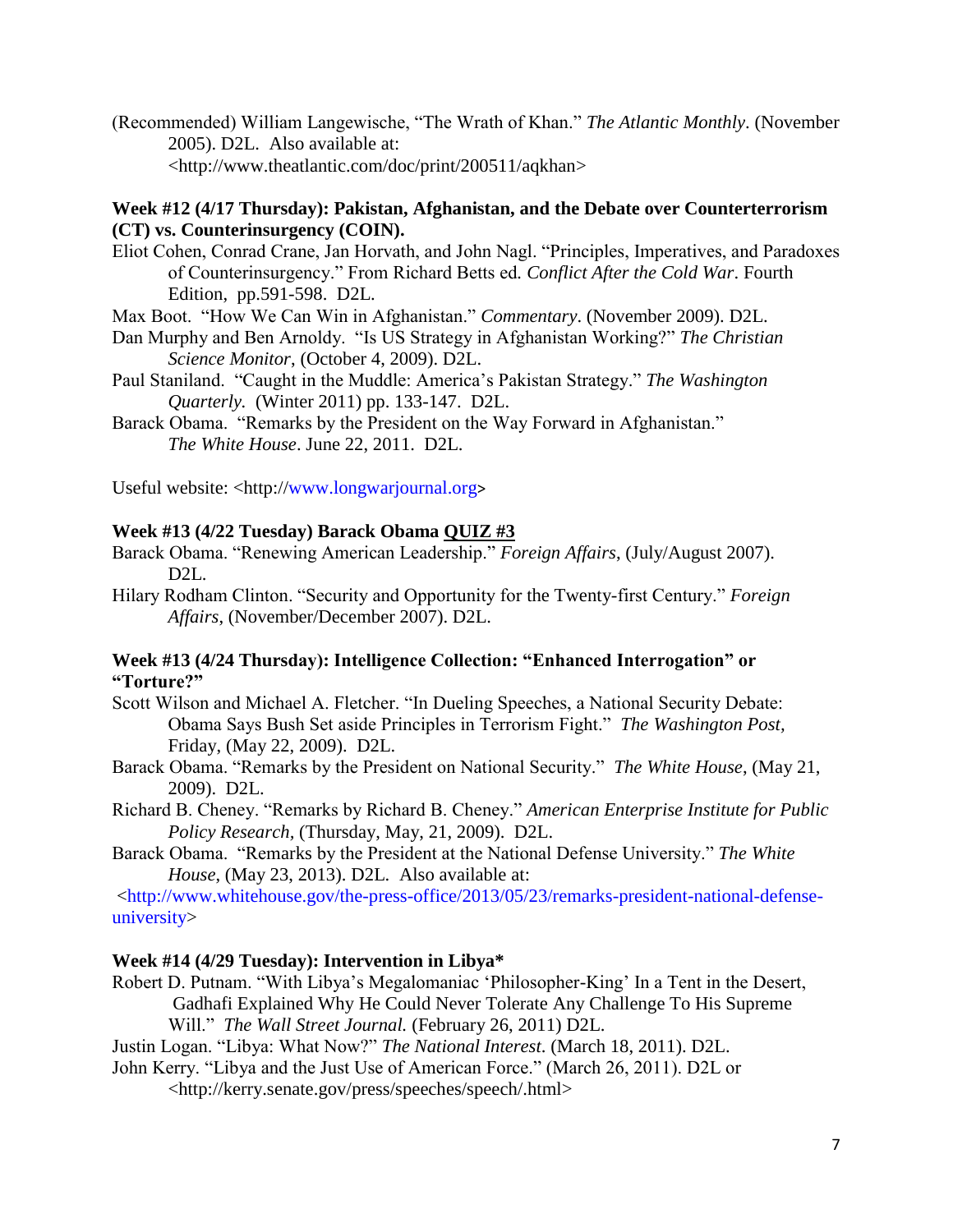(Recommended) William Langewische, "The Wrath of Khan." *The Atlantic Monthly*. (November 2005). D2L. Also available at: [<http://www.theatlantic.com/doc/print/200511/aqkhan>](http://www.theatlantic.com/doc/print/200511/aqkhan)

# **Week #12 (4/17 Thursday): Pakistan, Afghanistan, and the Debate over Counterterrorism (CT) vs. Counterinsurgency (COIN).**

Eliot Cohen, Conrad Crane, Jan Horvath, and John Nagl. "Principles, Imperatives, and Paradoxes of Counterinsurgency." From Richard Betts ed*. Conflict After the Cold War*. Fourth Edition, pp.591-598. D2L.

Max Boot. "How We Can Win in Afghanistan." *Commentary*. (November 2009). D2L.

- Dan Murphy and Ben Arnoldy. "Is US Strategy in Afghanistan Working?" *The Christian Science Monitor*, (October 4, 2009). D2L.
- Paul Staniland. "Caught in the Muddle: America's Pakistan Strategy." *The Washington Quarterly.* (Winter 2011) pp. 133-147. D2L.
- Barack Obama. "Remarks by the President on the Way Forward in Afghanistan." *The White House*. June 22, 2011. D2L.

Useful website: <http:/[/www.longwarjournal.org](http://www.longwarjournal.org/)>

# **Week #13 (4/22 Tuesday) Barack Obama QUIZ #3**

- Barack Obama. "Renewing American Leadership." *Foreign Affairs*, (July/August 2007). D<sub>2</sub>L.
- Hilary Rodham Clinton. "Security and Opportunity for the Twenty-first Century." *Foreign Affairs*, (November/December 2007). D2L.

# **Week #13 (4/24 Thursday): Intelligence Collection: "Enhanced Interrogation" or "Torture?"**

- Scott Wilson and Michael A. Fletcher. "In Dueling Speeches, a National Security Debate: Obama Says Bush Set aside Principles in Terrorism Fight." *The Washington Post,* Friday, (May 22, 2009). D2L.
- Barack Obama. "Remarks by the President on National Security." *The White House*, (May 21, 2009). D2L.
- Richard B. Cheney. "Remarks by Richard B. Cheney." *American Enterprise Institute for Public Policy Research,* (Thursday, May, 21, 2009). D2L.
- Barack Obama. "Remarks by the President at the National Defense University." *The White House*, (May 23, 2013). D2L. Also available at:

[<http://www.whitehouse.gov/the-press-office/2013/05/23/remarks-president-national-defense](http://www.whitehouse.gov/the-press-office/2013/05/23/remarks-president-national-defense-university)[university>](http://www.whitehouse.gov/the-press-office/2013/05/23/remarks-president-national-defense-university)

## **Week #14 (4/29 Tuesday): Intervention in Libya\***

Robert D. Putnam. "With Libya's Megalomaniac 'Philosopher-King' In a Tent in the Desert, Gadhafi Explained Why He Could Never Tolerate Any Challenge To His Supreme Will." *The Wall Street Journal.* (February 26, 2011) D2L.

Justin Logan. "Libya: What Now?" *The National Interest*. (March 18, 2011). D2L.

John Kerry. "Libya and the Just Use of American Force." (March 26, 2011). D2L or

<http://kerry.senate.gov/press/speeches/speech/.html>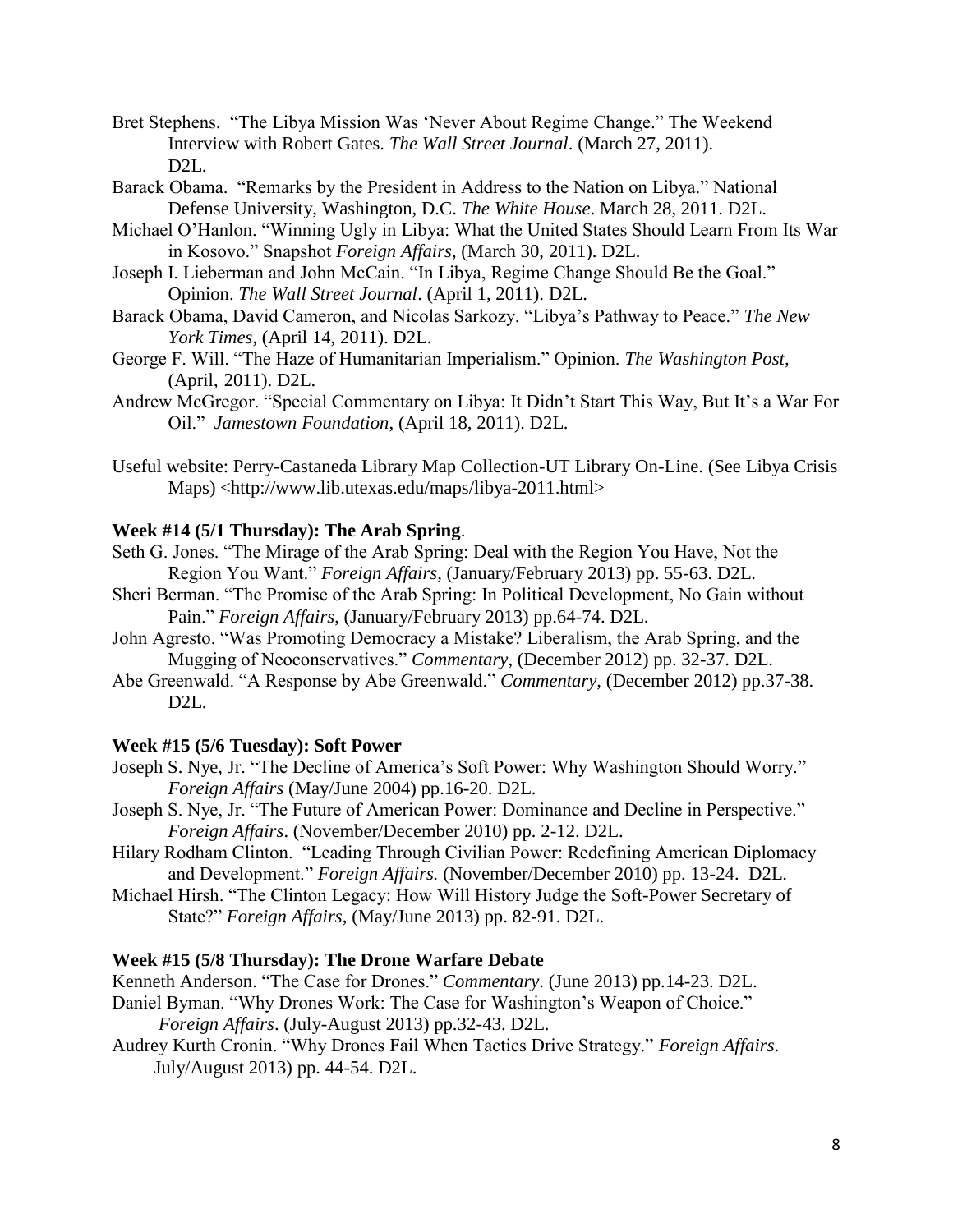- Bret Stephens. "The Libya Mission Was 'Never About Regime Change." The Weekend Interview with Robert Gates. *The Wall Street Journal*. (March 27, 2011).  $D2L$ .
- Barack Obama. "Remarks by the President in Address to the Nation on Libya." National Defense University, Washington, D.C. *The White House*. March 28, 2011. D2L.
- Michael O'Hanlon. "Winning Ugly in Libya: What the United States Should Learn From Its War in Kosovo." Snapshot *Foreign Affairs*, (March 30, 2011). D2L.
- Joseph I. Lieberman and John McCain. "In Libya, Regime Change Should Be the Goal." Opinion. *The Wall Street Journal*. (April 1, 2011). D2L.
- Barack Obama, David Cameron, and Nicolas Sarkozy. "Libya's Pathway to Peace." *The New York Times*, (April 14, 2011). D2L.
- George F. Will. "The Haze of Humanitarian Imperialism." Opinion. *The Washington Post,*  (April, 2011). D2L.
- Andrew McGregor. "Special Commentary on Libya: It Didn't Start This Way, But It's a War For Oil." *Jamestown Foundation*, (April 18, 2011). D2L.
- Useful website: Perry-Castaneda Library Map Collection-UT Library On-Line. (See Libya Crisis Maps) <http://www.lib.utexas.edu/maps/libya-2011.html>

# **Week #14 (5/1 Thursday): The Arab Spring**.

- Seth G. Jones. "The Mirage of the Arab Spring: Deal with the Region You Have, Not the Region You Want." *Foreign Affairs,* (January/February 2013) pp. 55-63. D2L.
- Sheri Berman. "The Promise of the Arab Spring: In Political Development, No Gain without Pain." *Foreign Affairs*, (January/February 2013) pp.64-74. D2L.
- John Agresto. "Was Promoting Democracy a Mistake? Liberalism, the Arab Spring, and the Mugging of Neoconservatives." *Commentary*, (December 2012) pp. 32-37. D2L.
- Abe Greenwald. "A Response by Abe Greenwald." *Commentary,* (December 2012) pp.37-38. D<sub>2</sub>L.

## **Week #15 (5/6 Tuesday): Soft Power**

- Joseph S. Nye, Jr. "The Decline of America's Soft Power: Why Washington Should Worry." *Foreign Affairs* (May/June 2004) pp.16-20. D2L.
- Joseph S. Nye, Jr. "The Future of American Power: Dominance and Decline in Perspective." *Foreign Affairs*. (November/December 2010) pp. 2-12. D2L.
- Hilary Rodham Clinton. "Leading Through Civilian Power: Redefining American Diplomacy and Development." *Foreign Affairs.* (November/December 2010) pp. 13-24. D2L.
- Michael Hirsh. "The Clinton Legacy: How Will History Judge the Soft-Power Secretary of State?" *Foreign Affairs*, (May/June 2013) pp. 82-91. D2L.

## **Week #15 (5/8 Thursday): The Drone Warfare Debate**

Kenneth Anderson. "The Case for Drones." *Commentary*. (June 2013) pp.14-23. D2L.

- Daniel Byman. "Why Drones Work: The Case for Washington's Weapon of Choice."  *Foreign Affairs*. (July-August 2013) pp.32-43. D2L.
- Audrey Kurth Cronin. "Why Drones Fail When Tactics Drive Strategy." *Foreign Affairs*. July/August 2013) pp. 44-54. D2L.